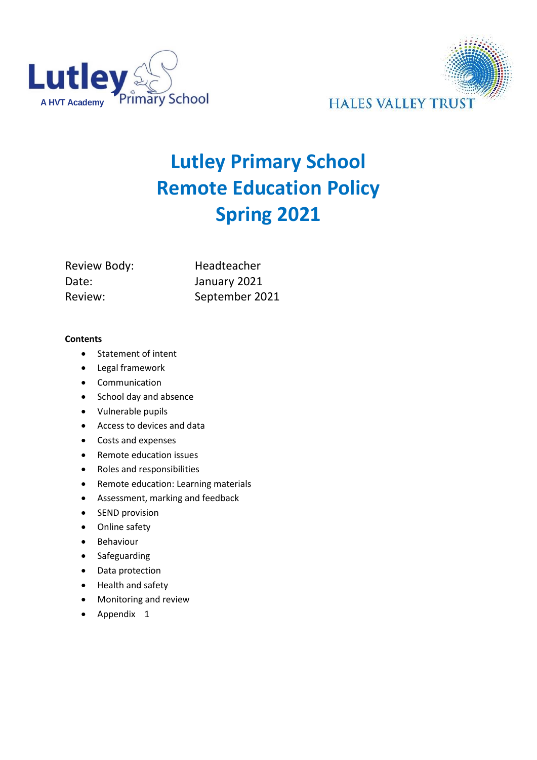



# **Lutley Primary School Remote Education Policy Spring 2021**

Review Body: Headteacher Date: January 2021

Review: September 2021

#### **Contents**

- Statement of intent
- Legal framework
- Communication
- School day and absence
- Vulnerable pupils
- Access to devices and data
- Costs and expenses
- Remote education issues
- Roles and responsibilities
- Remote education: Learning materials
- Assessment, marking and feedback
- SEND provision
- Online safety
- **•** Behaviour
- **•** Safeguarding
- Data protection
- Health and safety
- Monitoring and review
- Appendix 1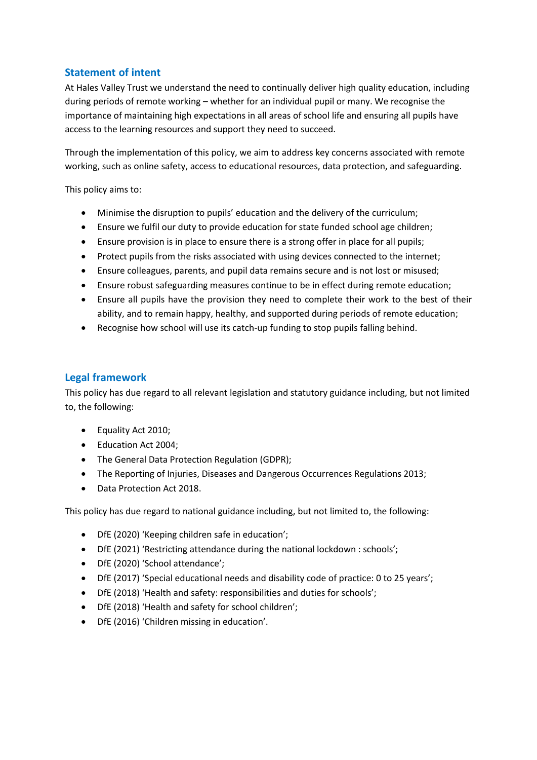## **Statement of intent**

At Hales Valley Trust we understand the need to continually deliver high quality education, including during periods of remote working – whether for an individual pupil or many. We recognise the importance of maintaining high expectations in all areas of school life and ensuring all pupils have access to the learning resources and support they need to succeed.

Through the implementation of this policy, we aim to address key concerns associated with remote working, such as online safety, access to educational resources, data protection, and safeguarding.

This policy aims to:

- Minimise the disruption to pupils' education and the delivery of the curriculum;
- Ensure we fulfil our duty to provide education for state funded school age children;
- Ensure provision is in place to ensure there is a strong offer in place for all pupils;
- Protect pupils from the risks associated with using devices connected to the internet;
- Ensure colleagues, parents, and pupil data remains secure and is not lost or misused;
- Ensure robust safeguarding measures continue to be in effect during remote education;
- Ensure all pupils have the provision they need to complete their work to the best of their ability, and to remain happy, healthy, and supported during periods of remote education;
- Recognise how school will use its catch-up funding to stop pupils falling behind.

#### **Legal framework**

This policy has due regard to all relevant legislation and statutory guidance including, but not limited to, the following:

- Equality Act 2010;
- Education Act 2004;
- The General Data Protection Regulation (GDPR);
- The Reporting of Injuries, Diseases and Dangerous Occurrences Regulations 2013;
- Data Protection Act 2018.

This policy has due regard to national guidance including, but not limited to, the following:

- DfE (2020) 'Keeping children safe in education';
- DfE (2021) 'Restricting attendance during the national lockdown : schools';
- DfE (2020) 'School attendance';
- DfE (2017) 'Special educational needs and disability code of practice: 0 to 25 years';
- DfE (2018) 'Health and safety: responsibilities and duties for schools';
- DfE (2018) 'Health and safety for school children';
- DfE (2016) 'Children missing in education'.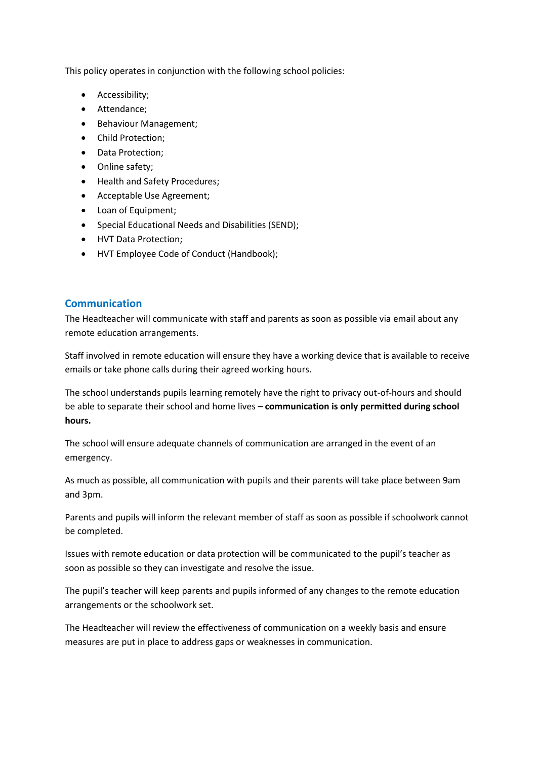This policy operates in conjunction with the following school policies:

- Accessibility;
- Attendance;
- Behaviour Management;
- Child Protection;
- Data Protection;
- Online safety:
- Health and Safety Procedures;
- Acceptable Use Agreement;
- Loan of Equipment;
- Special Educational Needs and Disabilities (SEND);
- HVT Data Protection;
- HVT Employee Code of Conduct (Handbook);

#### **Communication**

The Headteacher will communicate with staff and parents as soon as possible via email about any remote education arrangements.

Staff involved in remote education will ensure they have a working device that is available to receive emails or take phone calls during their agreed working hours.

The school understands pupils learning remotely have the right to privacy out-of-hours and should be able to separate their school and home lives – **communication is only permitted during school hours.**

The school will ensure adequate channels of communication are arranged in the event of an emergency.

As much as possible, all communication with pupils and their parents will take place between 9am and 3pm.

Parents and pupils will inform the relevant member of staff as soon as possible if schoolwork cannot be completed.

Issues with remote education or data protection will be communicated to the pupil's teacher as soon as possible so they can investigate and resolve the issue.

The pupil's teacher will keep parents and pupils informed of any changes to the remote education arrangements or the schoolwork set.

The Headteacher will review the effectiveness of communication on a weekly basis and ensure measures are put in place to address gaps or weaknesses in communication.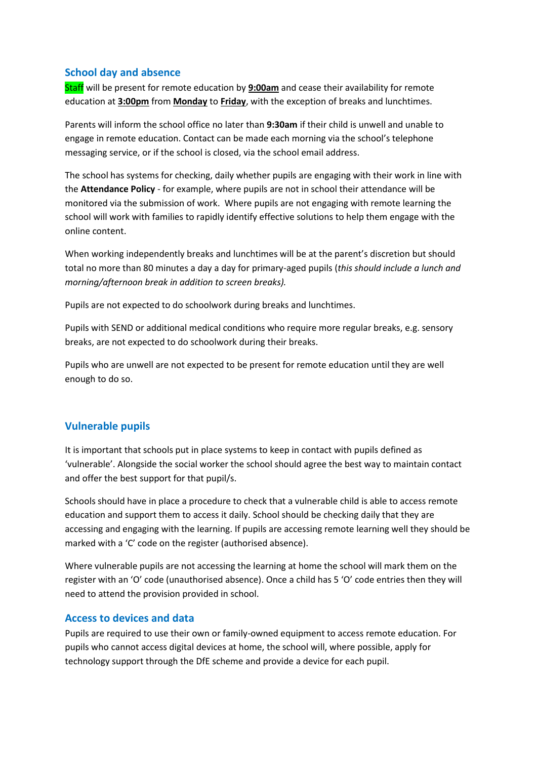#### **School day and absence**

Staff will be present for remote education by **9:00am** and cease their availability for remote education at **3:00pm** from **Monday** to **Friday**, with the exception of breaks and lunchtimes.

Parents will inform the school office no later than **9:30am** if their child is unwell and unable to engage in remote education. Contact can be made each morning via the school's telephone messaging service, or if the school is closed, via the school email address.

The school has systems for checking, daily whether pupils are engaging with their work in line with the **Attendance Policy** - for example, where pupils are not in school their attendance will be monitored via the submission of work. Where pupils are not engaging with remote learning the school will work with families to rapidly identify effective solutions to help them engage with the online content.

When working independently breaks and lunchtimes will be at the parent's discretion but should total no more than 80 minutes a day a day for primary-aged pupils (*this should include a lunch and morning/afternoon break in addition to screen breaks).*

Pupils are not expected to do schoolwork during breaks and lunchtimes.

Pupils with SEND or additional medical conditions who require more regular breaks, e.g. sensory breaks, are not expected to do schoolwork during their breaks.

Pupils who are unwell are not expected to be present for remote education until they are well enough to do so.

## **Vulnerable pupils**

It is important that schools put in place systems to keep in contact with pupils defined as 'vulnerable'. Alongside the social worker the school should agree the best way to maintain contact and offer the best support for that pupil/s.

Schools should have in place a procedure to check that a vulnerable child is able to access remote education and support them to access it daily. School should be checking daily that they are accessing and engaging with the learning. If pupils are accessing remote learning well they should be marked with a 'C' code on the register (authorised absence).

Where vulnerable pupils are not accessing the learning at home the school will mark them on the register with an 'O' code (unauthorised absence). Once a child has 5 'O' code entries then they will need to attend the provision provided in school.

## **Access to devices and data**

Pupils are required to use their own or family-owned equipment to access remote education. For pupils who cannot access digital devices at home, the school will, where possible, apply for technology support through the DfE scheme and provide a device for each pupil.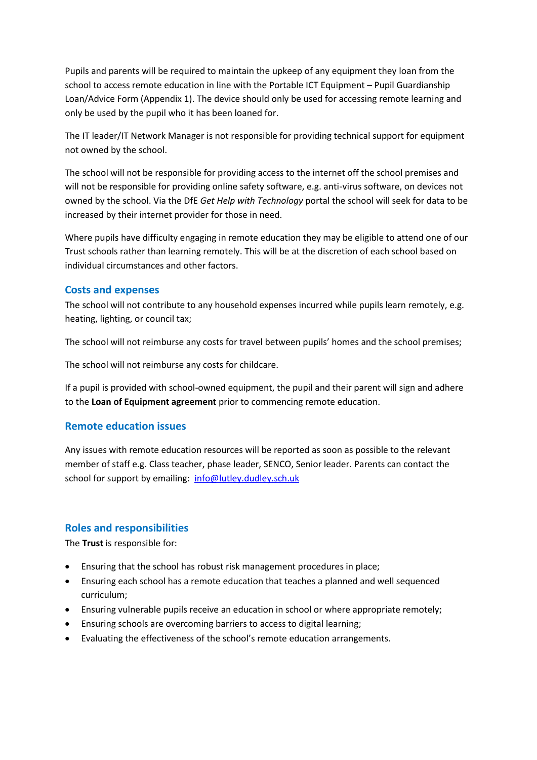Pupils and parents will be required to maintain the upkeep of any equipment they loan from the school to access remote education in line with the Portable ICT Equipment – Pupil Guardianship Loan/Advice Form (Appendix 1). The device should only be used for accessing remote learning and only be used by the pupil who it has been loaned for.

The IT leader/IT Network Manager is not responsible for providing technical support for equipment not owned by the school.

The school will not be responsible for providing access to the internet off the school premises and will not be responsible for providing online safety software, e.g. anti-virus software, on devices not owned by the school. Via the DfE *Get Help with Technology* portal the school will seek for data to be increased by their internet provider for those in need.

Where pupils have difficulty engaging in remote education they may be eligible to attend one of our Trust schools rather than learning remotely. This will be at the discretion of each school based on individual circumstances and other factors.

#### **Costs and expenses**

The school will not contribute to any household expenses incurred while pupils learn remotely, e.g. heating, lighting, or council tax;

The school will not reimburse any costs for travel between pupils' homes and the school premises;

The school will not reimburse any costs for childcare.

If a pupil is provided with school-owned equipment, the pupil and their parent will sign and adhere to the **Loan of Equipment agreement** prior to commencing remote education.

#### **Remote education issues**

Any issues with remote education resources will be reported as soon as possible to the relevant member of staff e.g. Class teacher, phase leader, SENCO, Senior leader. Parents can contact the school for support by emailing: [info@lutley.dudley.sch.uk](mailto:info@lutley.dudley.sch.uk)

## **Roles and responsibilities**

The **Trust** is responsible for:

- Ensuring that the school has robust risk management procedures in place;
- Ensuring each school has a remote education that teaches a planned and well sequenced curriculum;
- Ensuring vulnerable pupils receive an education in school or where appropriate remotely;
- Ensuring schools are overcoming barriers to access to digital learning;
- Evaluating the effectiveness of the school's remote education arrangements.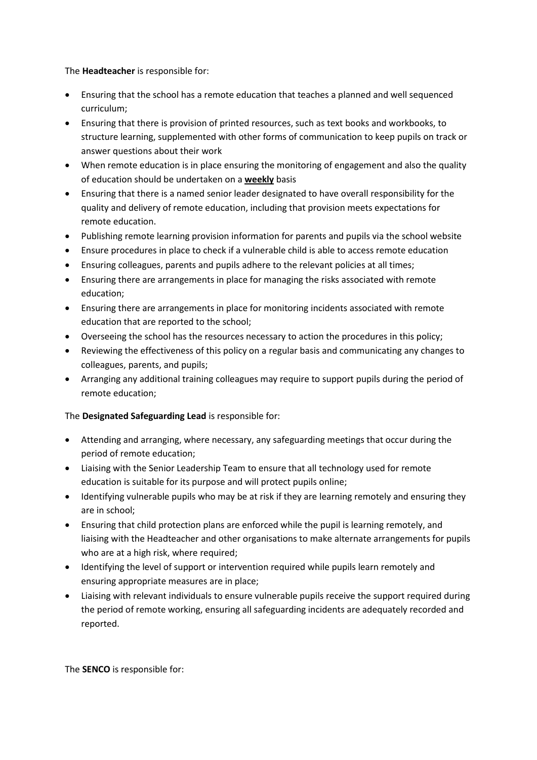The **Headteacher** is responsible for:

- Ensuring that the school has a remote education that teaches a planned and well sequenced curriculum;
- Ensuring that there is provision of printed resources, such as text books and workbooks, to structure learning, supplemented with other forms of communication to keep pupils on track or answer questions about their work
- When remote education is in place ensuring the monitoring of engagement and also the quality of education should be undertaken on a **weekly** basis
- Ensuring that there is a named senior leader designated to have overall responsibility for the quality and delivery of remote education, including that provision meets expectations for remote education.
- Publishing remote learning provision information for parents and pupils via the school website
- Ensure procedures in place to check if a vulnerable child is able to access remote education
- Ensuring colleagues, parents and pupils adhere to the relevant policies at all times;
- Ensuring there are arrangements in place for managing the risks associated with remote education;
- Ensuring there are arrangements in place for monitoring incidents associated with remote education that are reported to the school;
- Overseeing the school has the resources necessary to action the procedures in this policy;
- Reviewing the effectiveness of this policy on a regular basis and communicating any changes to colleagues, parents, and pupils;
- Arranging any additional training colleagues may require to support pupils during the period of remote education;

#### The **Designated Safeguarding Lead** is responsible for:

- Attending and arranging, where necessary, any safeguarding meetings that occur during the period of remote education;
- Liaising with the Senior Leadership Team to ensure that all technology used for remote education is suitable for its purpose and will protect pupils online;
- Identifying vulnerable pupils who may be at risk if they are learning remotely and ensuring they are in school;
- Ensuring that child protection plans are enforced while the pupil is learning remotely, and liaising with the Headteacher and other organisations to make alternate arrangements for pupils who are at a high risk, where required;
- Identifying the level of support or intervention required while pupils learn remotely and ensuring appropriate measures are in place;
- Liaising with relevant individuals to ensure vulnerable pupils receive the support required during the period of remote working, ensuring all safeguarding incidents are adequately recorded and reported.

The **SENCO** is responsible for: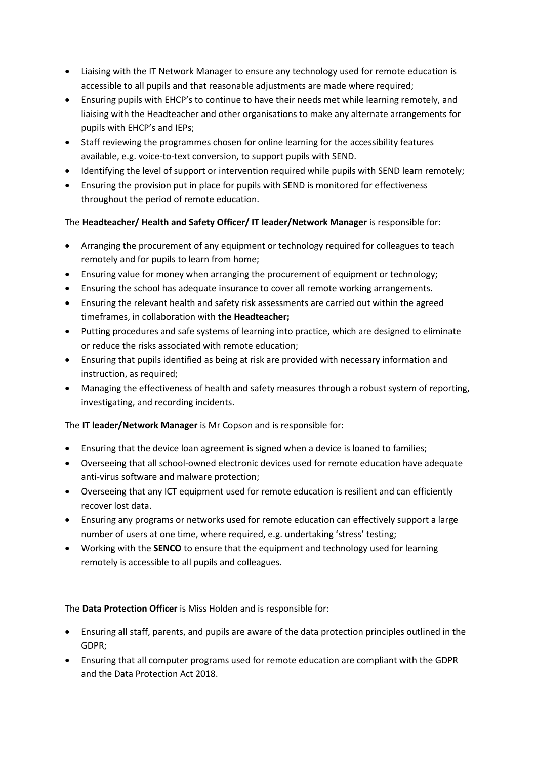- Liaising with the IT Network Manager to ensure any technology used for remote education is accessible to all pupils and that reasonable adjustments are made where required;
- Ensuring pupils with EHCP's to continue to have their needs met while learning remotely, and liaising with the Headteacher and other organisations to make any alternate arrangements for pupils with EHCP's and IEPs;
- Staff reviewing the programmes chosen for online learning for the accessibility features available, e.g. voice-to-text conversion, to support pupils with SEND.
- Identifying the level of support or intervention required while pupils with SEND learn remotely;
- Ensuring the provision put in place for pupils with SEND is monitored for effectiveness throughout the period of remote education.

## The **Headteacher/ Health and Safety Officer/ IT leader/Network Manager** is responsible for:

- Arranging the procurement of any equipment or technology required for colleagues to teach remotely and for pupils to learn from home;
- Ensuring value for money when arranging the procurement of equipment or technology;
- Ensuring the school has adequate insurance to cover all remote working arrangements.
- Ensuring the relevant health and safety risk assessments are carried out within the agreed timeframes, in collaboration with **the Headteacher;**
- Putting procedures and safe systems of learning into practice, which are designed to eliminate or reduce the risks associated with remote education;
- Ensuring that pupils identified as being at risk are provided with necessary information and instruction, as required;
- Managing the effectiveness of health and safety measures through a robust system of reporting, investigating, and recording incidents.

## The **IT leader/Network Manager** is Mr Copson and is responsible for:

- Ensuring that the device loan agreement is signed when a device is loaned to families;
- Overseeing that all school-owned electronic devices used for remote education have adequate anti-virus software and malware protection;
- Overseeing that any ICT equipment used for remote education is resilient and can efficiently recover lost data.
- Ensuring any programs or networks used for remote education can effectively support a large number of users at one time, where required, e.g. undertaking 'stress' testing;
- Working with the **SENCO** to ensure that the equipment and technology used for learning remotely is accessible to all pupils and colleagues.

#### The **Data Protection Officer** is Miss Holden and is responsible for:

- Ensuring all staff, parents, and pupils are aware of the data protection principles outlined in the GDPR;
- Ensuring that all computer programs used for remote education are compliant with the GDPR and the Data Protection Act 2018.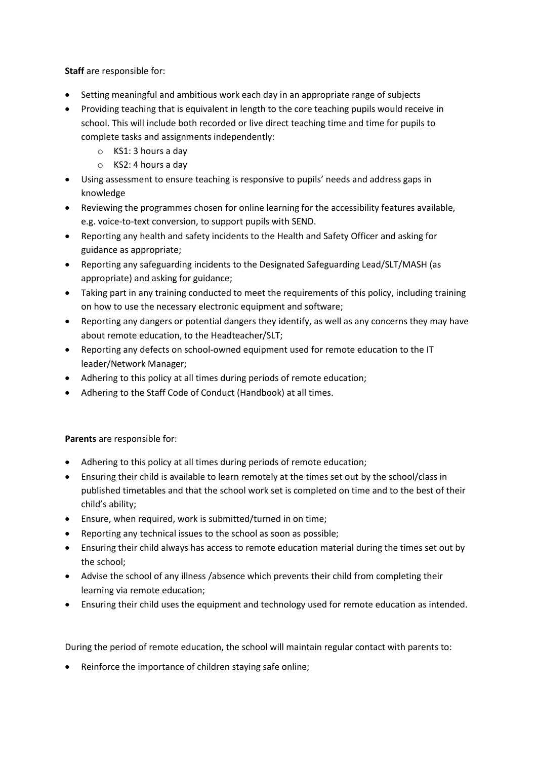**Staff** are responsible for:

- Setting meaningful and ambitious work each day in an appropriate range of subjects
- Providing teaching that is equivalent in length to the core teaching pupils would receive in school. This will include both recorded or live direct teaching time and time for pupils to complete tasks and assignments independently:
	- o KS1: 3 hours a day
	- o KS2: 4 hours a day
- Using assessment to ensure teaching is responsive to pupils' needs and address gaps in knowledge
- Reviewing the programmes chosen for online learning for the accessibility features available, e.g. voice-to-text conversion, to support pupils with SEND.
- Reporting any health and safety incidents to the Health and Safety Officer and asking for guidance as appropriate;
- Reporting any safeguarding incidents to the Designated Safeguarding Lead/SLT/MASH (as appropriate) and asking for guidance;
- Taking part in any training conducted to meet the requirements of this policy, including training on how to use the necessary electronic equipment and software;
- Reporting any dangers or potential dangers they identify, as well as any concerns they may have about remote education, to the Headteacher/SLT;
- Reporting any defects on school-owned equipment used for remote education to the IT leader/Network Manager;
- Adhering to this policy at all times during periods of remote education;
- Adhering to the Staff Code of Conduct (Handbook) at all times.

**Parents** are responsible for:

- Adhering to this policy at all times during periods of remote education;
- Ensuring their child is available to learn remotely at the times set out by the school/class in published timetables and that the school work set is completed on time and to the best of their child's ability;
- Ensure, when required, work is submitted/turned in on time;
- Reporting any technical issues to the school as soon as possible;
- Ensuring their child always has access to remote education material during the times set out by the school;
- Advise the school of any illness /absence which prevents their child from completing their learning via remote education;
- Ensuring their child uses the equipment and technology used for remote education as intended.

During the period of remote education, the school will maintain regular contact with parents to:

Reinforce the importance of children staying safe online;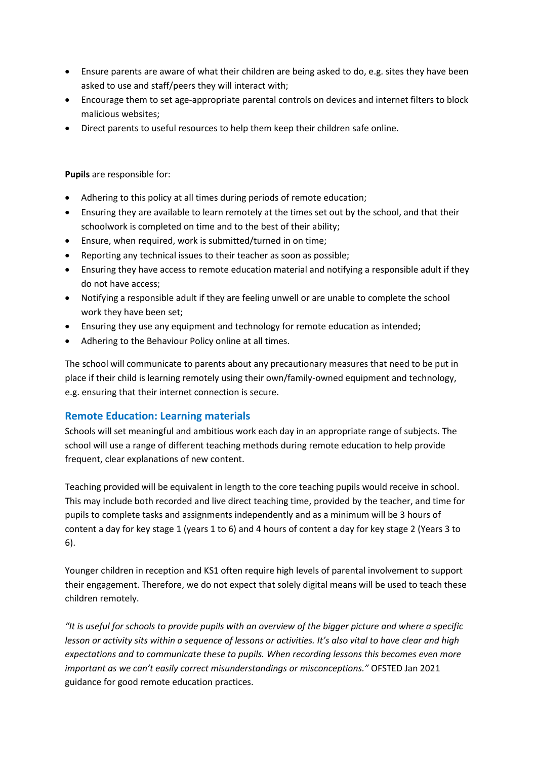- Ensure parents are aware of what their children are being asked to do, e.g. sites they have been asked to use and staff/peers they will interact with;
- Encourage them to set age-appropriate parental controls on devices and internet filters to block malicious websites;
- Direct parents to useful resources to help them keep their children safe online.

**Pupils** are responsible for:

- Adhering to this policy at all times during periods of remote education;
- Ensuring they are available to learn remotely at the times set out by the school, and that their schoolwork is completed on time and to the best of their ability;
- Ensure, when required, work is submitted/turned in on time;
- Reporting any technical issues to their teacher as soon as possible;
- Ensuring they have access to remote education material and notifying a responsible adult if they do not have access;
- Notifying a responsible adult if they are feeling unwell or are unable to complete the school work they have been set;
- Ensuring they use any equipment and technology for remote education as intended;
- Adhering to the Behaviour Policy online at all times.

The school will communicate to parents about any precautionary measures that need to be put in place if their child is learning remotely using their own/family-owned equipment and technology, e.g. ensuring that their internet connection is secure.

## **Remote Education: Learning materials**

Schools will set meaningful and ambitious work each day in an appropriate range of subjects. The school will use a range of different teaching methods during remote education to help provide frequent, clear explanations of new content.

Teaching provided will be equivalent in length to the core teaching pupils would receive in school. This may include both recorded and live direct teaching time, provided by the teacher, and time for pupils to complete tasks and assignments independently and as a minimum will be 3 hours of content a day for key stage 1 (years 1 to 6) and 4 hours of content a day for key stage 2 (Years 3 to 6).

Younger children in reception and KS1 often require high levels of parental involvement to support their engagement. Therefore, we do not expect that solely digital means will be used to teach these children remotely.

*"It is useful for schools to provide pupils with an overview of the bigger picture and where a specific lesson or activity sits within a sequence of lessons or activities. It's also vital to have clear and high expectations and to communicate these to pupils. When recording lessons this becomes even more important as we can't easily correct misunderstandings or misconceptions."* OFSTED Jan 2021 guidance for good remote education practices.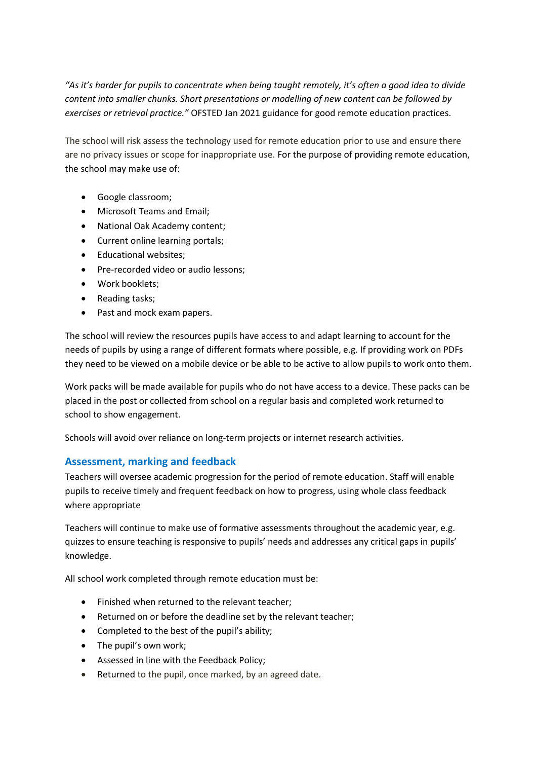*"As it's harder for pupils to concentrate when being taught remotely, it's often a good idea to divide content into smaller chunks. Short presentations or modelling of new content can be followed by exercises or retrieval practice."* OFSTED Jan 2021 guidance for good remote education practices.

The school will risk assess the technology used for remote education prior to use and ensure there are no privacy issues or scope for inappropriate use. For the purpose of providing remote education, the school may make use of:

- Google classroom;
- Microsoft Teams and Email;
- National Oak Academy content;
- Current online learning portals;
- Educational websites:
- Pre-recorded video or audio lessons;
- Work booklets:
- Reading tasks;
- Past and mock exam papers.

The school will review the resources pupils have access to and adapt learning to account for the needs of pupils by using a range of different formats where possible, e.g. If providing work on PDFs they need to be viewed on a mobile device or be able to be active to allow pupils to work onto them.

Work packs will be made available for pupils who do not have access to a device. These packs can be placed in the post or collected from school on a regular basis and completed work returned to school to show engagement.

Schools will avoid over reliance on long-term projects or internet research activities.

#### **Assessment, marking and feedback**

Teachers will oversee academic progression for the period of remote education. Staff will enable pupils to receive timely and frequent feedback on how to progress, using whole class feedback where appropriate

Teachers will continue to make use of formative assessments throughout the academic year, e.g. quizzes to ensure teaching is responsive to pupils' needs and addresses any critical gaps in pupils' knowledge.

All school work completed through remote education must be:

- Finished when returned to the relevant teacher;
- Returned on or before the deadline set by the relevant teacher;
- Completed to the best of the pupil's ability;
- The pupil's own work;
- Assessed in line with the Feedback Policy;
- Returned to the pupil, once marked, by an agreed date.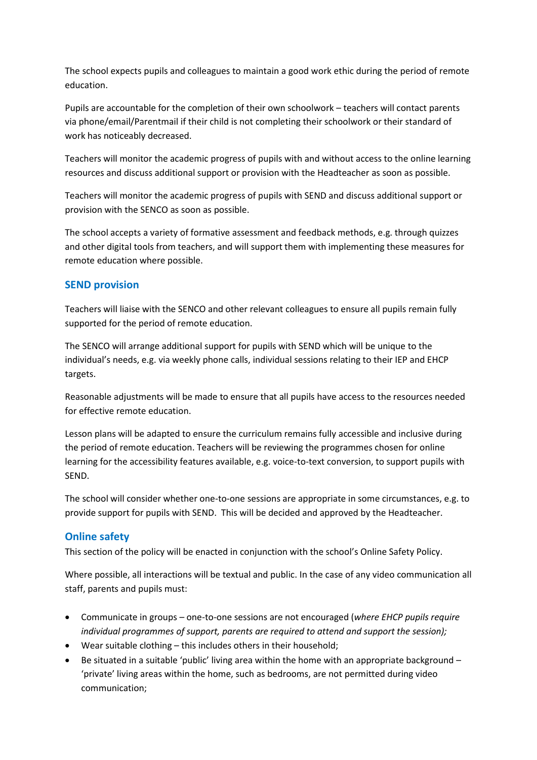The school expects pupils and colleagues to maintain a good work ethic during the period of remote education.

Pupils are accountable for the completion of their own schoolwork – teachers will contact parents via phone/email/Parentmail if their child is not completing their schoolwork or their standard of work has noticeably decreased.

Teachers will monitor the academic progress of pupils with and without access to the online learning resources and discuss additional support or provision with the Headteacher as soon as possible.

Teachers will monitor the academic progress of pupils with SEND and discuss additional support or provision with the SENCO as soon as possible.

The school accepts a variety of formative assessment and feedback methods, e.g. through quizzes and other digital tools from teachers, and will support them with implementing these measures for remote education where possible.

## **SEND provision**

Teachers will liaise with the SENCO and other relevant colleagues to ensure all pupils remain fully supported for the period of remote education.

The SENCO will arrange additional support for pupils with SEND which will be unique to the individual's needs, e.g. via weekly phone calls, individual sessions relating to their IEP and EHCP targets.

Reasonable adjustments will be made to ensure that all pupils have access to the resources needed for effective remote education.

Lesson plans will be adapted to ensure the curriculum remains fully accessible and inclusive during the period of remote education. Teachers will be reviewing the programmes chosen for online learning for the accessibility features available, e.g. voice-to-text conversion, to support pupils with SEND.

The school will consider whether one-to-one sessions are appropriate in some circumstances, e.g. to provide support for pupils with SEND. This will be decided and approved by the Headteacher.

## **Online safety**

This section of the policy will be enacted in conjunction with the school's Online Safety Policy.

Where possible, all interactions will be textual and public. In the case of any video communication all staff, parents and pupils must:

- Communicate in groups one-to-one sessions are not encouraged (*where EHCP pupils require individual programmes of support, parents are required to attend and support the session);*
- Wear suitable clothing this includes others in their household;
- Be situated in a suitable 'public' living area within the home with an appropriate background 'private' living areas within the home, such as bedrooms, are not permitted during video communication;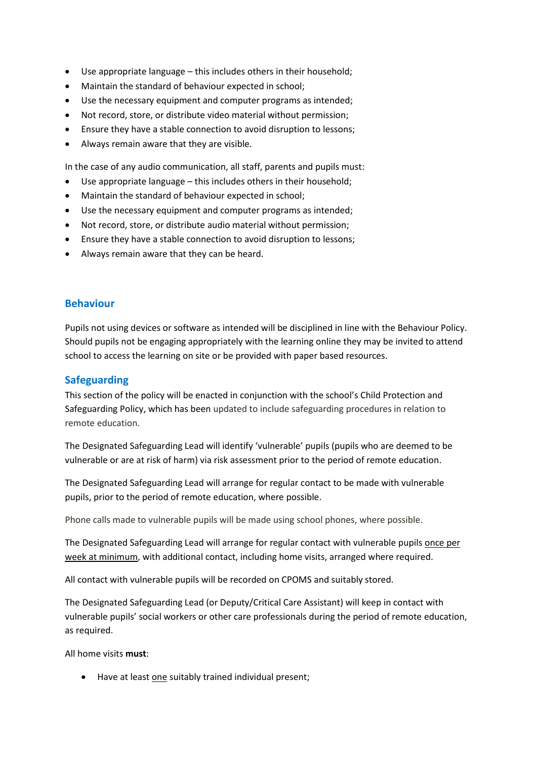- Use appropriate language this includes others in their household;
- Maintain the standard of behaviour expected in school;
- Use the necessary equipment and computer programs as intended;
- Not record, store, or distribute video material without permission;
- Ensure they have a stable connection to avoid disruption to lessons;
- Always remain aware that they are visible.

In the case of any audio communication, all staff, parents and pupils must:

- Use appropriate language this includes others in their household;
- Maintain the standard of behaviour expected in school;
- Use the necessary equipment and computer programs as intended;
- Not record, store, or distribute audio material without permission;
- Ensure they have a stable connection to avoid disruption to lessons;
- Always remain aware that they can be heard.

#### **Behaviour**

Pupils not using devices or software as intended will be disciplined in line with the Behaviour Policy. Should pupils not be engaging appropriately with the learning online they may be invited to attend school to access the learning on site or be provided with paper based resources.

#### **Safeguarding**

This section of the policy will be enacted in conjunction with the school's Child Protection and Safeguarding Policy, which has been updated to include safeguarding procedures in relation to remote education.

The Designated Safeguarding Lead will identify 'vulnerable' pupils (pupils who are deemed to be vulnerable or are at risk of harm) via risk assessment prior to the period of remote education.

The Designated Safeguarding Lead will arrange for regular contact to be made with vulnerable pupils, prior to the period of remote education, where possible.

Phone calls made to vulnerable pupils will be made using school phones, where possible.

The Designated Safeguarding Lead will arrange for regular contact with vulnerable pupils once per week at minimum, with additional contact, including home visits, arranged where required.

All contact with vulnerable pupils will be recorded on CPOMS and suitably stored.

The Designated Safeguarding Lead (or Deputy/Critical Care Assistant) will keep in contact with vulnerable pupils' social workers or other care professionals during the period of remote education, as required.

All home visits **must**:

Have at least one suitably trained individual present;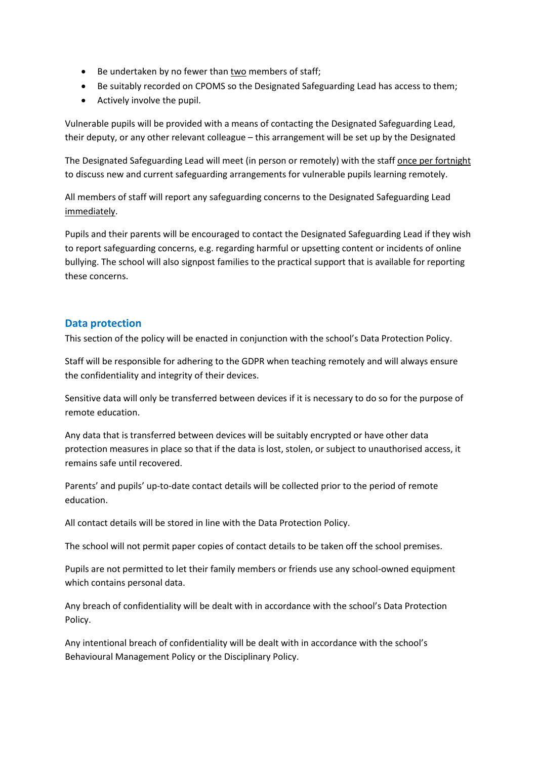- Be undertaken by no fewer than two members of staff;
- Be suitably recorded on CPOMS so the Designated Safeguarding Lead has access to them;
- Actively involve the pupil.

Vulnerable pupils will be provided with a means of contacting the Designated Safeguarding Lead, their deputy, or any other relevant colleague – this arrangement will be set up by the Designated

The Designated Safeguarding Lead will meet (in person or remotely) with the staff once per fortnight to discuss new and current safeguarding arrangements for vulnerable pupils learning remotely.

All members of staff will report any safeguarding concerns to the Designated Safeguarding Lead immediately.

Pupils and their parents will be encouraged to contact the Designated Safeguarding Lead if they wish to report safeguarding concerns, e.g. regarding harmful or upsetting content or incidents of online bullying. The school will also signpost families to the practical support that is available for reporting these concerns.

#### **Data protection**

This section of the policy will be enacted in conjunction with the school's Data Protection Policy.

Staff will be responsible for adhering to the GDPR when teaching remotely and will always ensure the confidentiality and integrity of their devices.

Sensitive data will only be transferred between devices if it is necessary to do so for the purpose of remote education.

Any data that is transferred between devices will be suitably encrypted or have other data protection measures in place so that if the data is lost, stolen, or subject to unauthorised access, it remains safe until recovered.

Parents' and pupils' up-to-date contact details will be collected prior to the period of remote education.

All contact details will be stored in line with the Data Protection Policy.

The school will not permit paper copies of contact details to be taken off the school premises.

Pupils are not permitted to let their family members or friends use any school-owned equipment which contains personal data.

Any breach of confidentiality will be dealt with in accordance with the school's Data Protection Policy.

Any intentional breach of confidentiality will be dealt with in accordance with the school's Behavioural Management Policy or the Disciplinary Policy.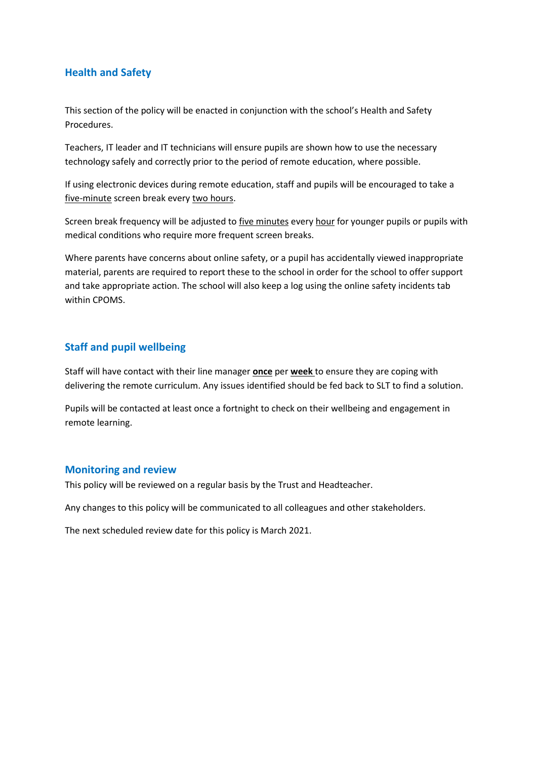## **Health and Safety**

This section of the policy will be enacted in conjunction with the school's Health and Safety Procedures.

Teachers, IT leader and IT technicians will ensure pupils are shown how to use the necessary technology safely and correctly prior to the period of remote education, where possible.

If using electronic devices during remote education, staff and pupils will be encouraged to take a five-minute screen break every two hours.

Screen break frequency will be adjusted to five minutes every hour for younger pupils or pupils with medical conditions who require more frequent screen breaks.

Where parents have concerns about online safety, or a pupil has accidentally viewed inappropriate material, parents are required to report these to the school in order for the school to offer support and take appropriate action. The school will also keep a log using the online safety incidents tab within CPOMS.

## **Staff and pupil wellbeing**

Staff will have contact with their line manager **once** per **week** to ensure they are coping with delivering the remote curriculum. Any issues identified should be fed back to SLT to find a solution.

Pupils will be contacted at least once a fortnight to check on their wellbeing and engagement in remote learning.

#### **Monitoring and review**

This policy will be reviewed on a regular basis by the Trust and Headteacher.

Any changes to this policy will be communicated to all colleagues and other stakeholders.

The next scheduled review date for this policy is March 2021.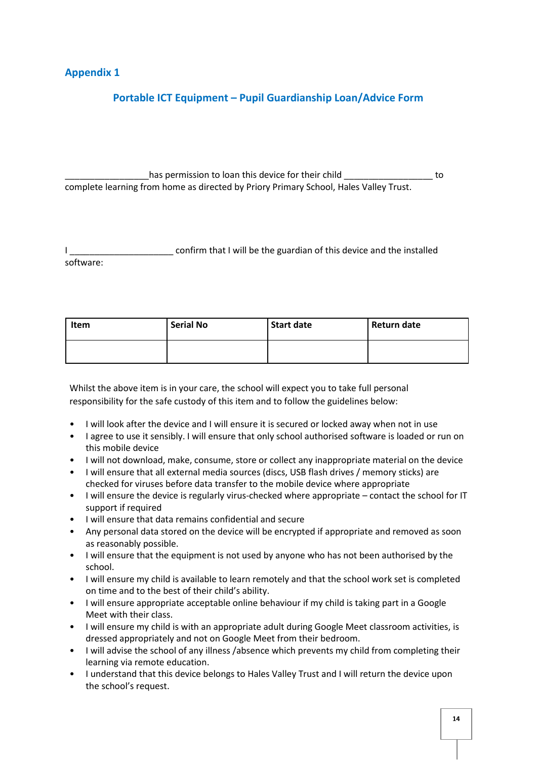## **Appendix 1**

# **Portable ICT Equipment – Pupil Guardianship Loan/Advice Form**

has permission to loan this device for their child  $\qquad \qquad$  to complete learning from home as directed by Priory Primary School, Hales Valley Trust.

confirm that I will be the guardian of this device and the installed software:

| Item | <b>Serial No</b> | <b>Start date</b> | Return date |
|------|------------------|-------------------|-------------|
|      |                  |                   |             |

Whilst the above item is in your care, the school will expect you to take full personal responsibility for the safe custody of this item and to follow the guidelines below:

- I will look after the device and I will ensure it is secured or locked away when not in use
- I agree to use it sensibly. I will ensure that only school authorised software is loaded or run on this mobile device
- I will not download, make, consume, store or collect any inappropriate material on the device
- I will ensure that all external media sources (discs, USB flash drives / memory sticks) are checked for viruses before data transfer to the mobile device where appropriate
- I will ensure the device is regularly virus-checked where appropriate contact the school for IT support if required
- I will ensure that data remains confidential and secure
- Any personal data stored on the device will be encrypted if appropriate and removed as soon as reasonably possible.
- I will ensure that the equipment is not used by anyone who has not been authorised by the school.
- I will ensure my child is available to learn remotely and that the school work set is completed on time and to the best of their child's ability.
- I will ensure appropriate acceptable online behaviour if my child is taking part in a Google Meet with their class.
- I will ensure my child is with an appropriate adult during Google Meet classroom activities, is dressed appropriately and not on Google Meet from their bedroom.
- I will advise the school of any illness /absence which prevents my child from completing their learning via remote education.
- I understand that this device belongs to Hales Valley Trust and I will return the device upon the school's request.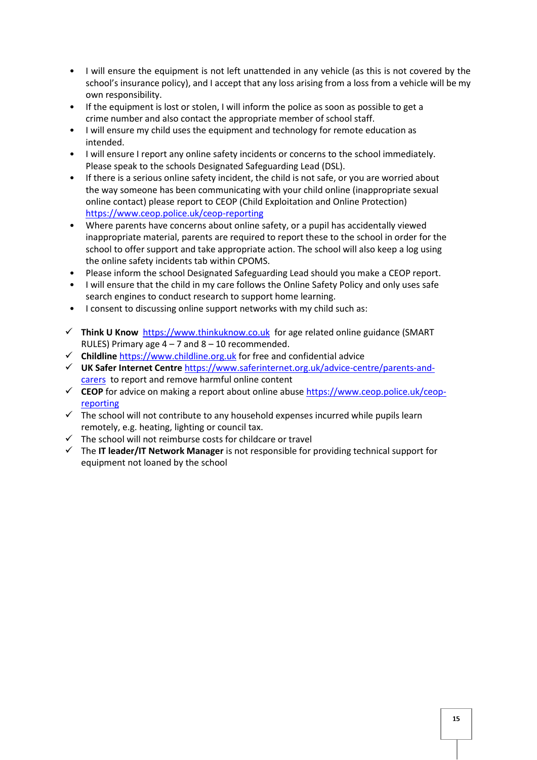- I will ensure the equipment is not left unattended in any vehicle (as this is not covered by the school's insurance policy), and I accept that any loss arising from a loss from a vehicle will be my own responsibility.
- If the equipment is lost or stolen, I will inform the police as soon as possible to get a crime number and also contact the appropriate member of school staff.
- I will ensure my child uses the equipment and technology for remote education as intended.
- I will ensure I report any online safety incidents or concerns to the school immediately. Please speak to the schools Designated Safeguarding Lead (DSL).
- If there is a serious online safety incident, the child is not safe, or you are worried about the way someone has been communicating with your child online (inappropriate sexual online contact) please report to CEOP (Child Exploitation and Online Protection) <https://www.ceop.police.uk/ceop-reporting>
- Where parents have concerns about online safety, or a pupil has accidentally viewed inappropriate material, parents are required to report these to the school in order for the school to offer support and take appropriate action. The school will also keep a log using the online safety incidents tab within CPOMS.
- Please inform the school Designated Safeguarding Lead should you make a CEOP report.
- I will ensure that the child in my care follows the Online Safety Policy and only uses safe search engines to conduct research to support home learning.
- I consent to discussing online support networks with my child such as:
- **Think U Know** [https://www.thinkuknow.co.uk](https://www.thinkuknow.co.uk/)for age related online guidance (SMART RULES) Primary age  $4 - 7$  and  $8 - 10$  recommended.
- **Childline** [https://www.childline.org.uk](https://www.childline.org.uk/) for free and confidential advice
- **UK Safer Internet Centre** [https://www.saferinternet.org.uk/advice-centre/parents-and](https://www.saferinternet.org.uk/advice-centre/parents-and-carers)[carers](https://www.saferinternet.org.uk/advice-centre/parents-and-carers) to report and remove harmful online content
- **CEOP** for advice on making a report about online abus[e https://www.ceop.police.uk/ceop](https://www.ceop.police.uk/ceop-reporting)[reporting](https://www.ceop.police.uk/ceop-reporting)
- $\checkmark$  The school will not contribute to any household expenses incurred while pupils learn remotely, e.g. heating, lighting or council tax.
- $\checkmark$  The school will not reimburse costs for childcare or travel
- The **IT leader/IT Network Manager** is not responsible for providing technical support for equipment not loaned by the school